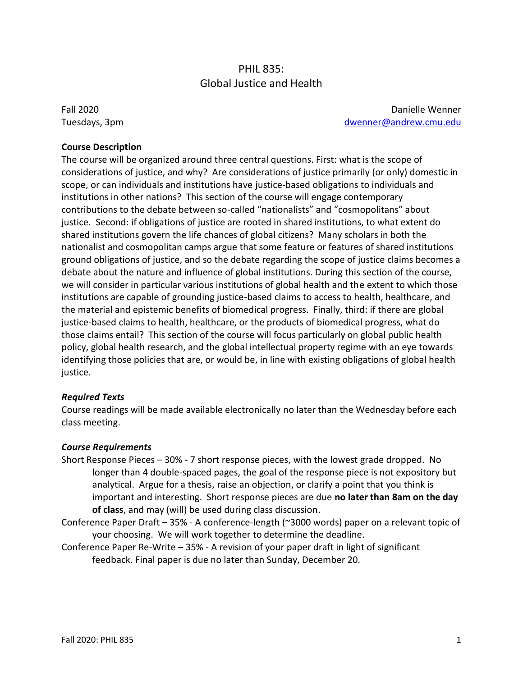# PHIL 835: Global Justice and Health

Fall 2020 Tuesdays, 3pm

Danielle Wenner [dwenner@andrew.cmu.edu](mailto:dwenner@andrew.cmu.edu)

#### **Course Description**

The course will be organized around three central questions. First: what is the scope of considerations of justice, and why? Are considerations of justice primarily (or only) domestic in scope, or can individuals and institutions have justice-based obligations to individuals and institutions in other nations? This section of the course will engage contemporary contributions to the debate between so-called "nationalists" and "cosmopolitans" about justice. Second: if obligations of justice are rooted in shared institutions, to what extent do shared institutions govern the life chances of global citizens? Many scholars in both the nationalist and cosmopolitan camps argue that some feature or features of shared institutions ground obligations of justice, and so the debate regarding the scope of justice claims becomes a debate about the nature and influence of global institutions. During this section of the course, we will consider in particular various institutions of global health and the extent to which those institutions are capable of grounding justice-based claims to access to health, healthcare, and the material and epistemic benefits of biomedical progress. Finally, third: if there are global justice-based claims to health, healthcare, or the products of biomedical progress, what do those claims entail? This section of the course will focus particularly on global public health policy, global health research, and the global intellectual property regime with an eye towards identifying those policies that are, or would be, in line with existing obligations of global health justice.

#### *Required Texts*

Course readings will be made available electronically no later than the Wednesday before each class meeting.

#### *Course Requirements*

- Short Response Pieces 30% 7 short response pieces, with the lowest grade dropped. No longer than 4 double-spaced pages, the goal of the response piece is not expository but analytical. Argue for a thesis, raise an objection, or clarify a point that you think is important and interesting. Short response pieces are due **no later than 8am on the day of class**, and may (will) be used during class discussion.
- Conference Paper Draft 35% A conference-length (~3000 words) paper on a relevant topic of your choosing. We will work together to determine the deadline.
- Conference Paper Re-Write 35% A revision of your paper draft in light of significant feedback. Final paper is due no later than Sunday, December 20.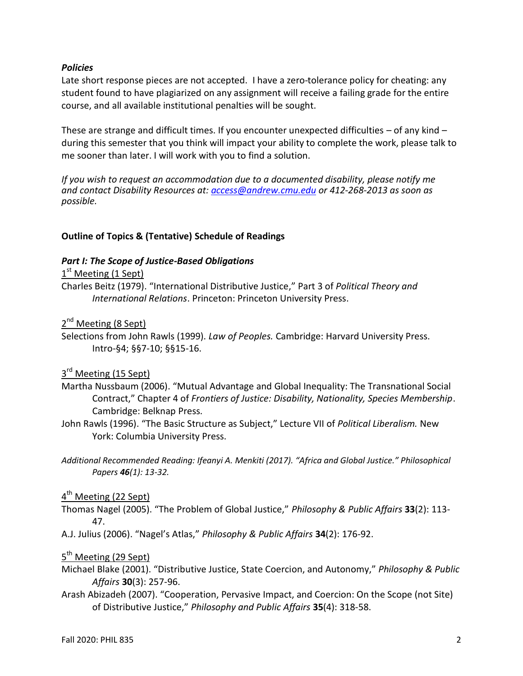#### *Policies*

Late short response pieces are not accepted. I have a zero-tolerance policy for cheating: any student found to have plagiarized on any assignment will receive a failing grade for the entire course, and all available institutional penalties will be sought.

These are strange and difficult times. If you encounter unexpected difficulties  $-$  of any kind  $$ during this semester that you think will impact your ability to complete the work, please talk to me sooner than later. I will work with you to find a solution.

*If you wish to request an accommodation due to a documented disability, please notify me and contact Disability Resources at: [access@andrew.cmu.edu](mailto:access@andrew.cmu.edu) or 412-268-2013 as soon as possible.*

#### **Outline of Topics & (Tentative) Schedule of Readings**

#### *Part I: The Scope of Justice-Based Obligations*

# 1<sup>st</sup> Meeting (1 Sept)

Charles Beitz (1979). "International Distributive Justice," Part 3 of *Political Theory and International Relations*. Princeton: Princeton University Press.

# 2<sup>nd</sup> Meeting (8 Sept)

Selections from John Rawls (1999). *Law of Peoples.* Cambridge: Harvard University Press. Intro-§4; §§7-10; §§15-16.

# 3<sup>rd</sup> Meeting (15 Sept)

- Martha Nussbaum (2006). "Mutual Advantage and Global Inequality: The Transnational Social Contract," Chapter 4 of *Frontiers of Justice: Disability, Nationality, Species Membership*. Cambridge: Belknap Press.
- John Rawls (1996). "The Basic Structure as Subject," Lecture VII of *Political Liberalism.* New York: Columbia University Press.
- *Additional Recommended Reading: Ifeanyi A. Menkiti (2017). "Africa and Global Justice." Philosophical Papers 46(1): 13-32.*

# 4<sup>th</sup> Meeting (22 Sept)

- Thomas Nagel (2005). "The Problem of Global Justice," *Philosophy & Public Affairs* **33**(2): 113- 47.
- A.J. Julius (2006). "Nagel's Atlas," *Philosophy & Public Affairs* **34**(2): 176-92.

# 5<sup>th</sup> Meeting (29 Sept)

- Michael Blake (2001). "Distributive Justice, State Coercion, and Autonomy," *Philosophy & Public Affairs* **30**(3): 257-96.
- Arash Abizadeh (2007). "Cooperation, Pervasive Impact, and Coercion: On the Scope (not Site) of Distributive Justice," *Philosophy and Public Affairs* **35**(4): 318-58.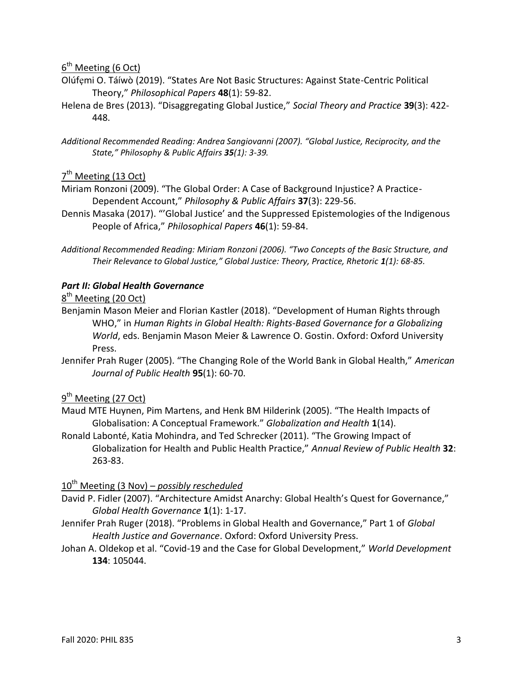# 6<sup>th</sup> Meeting (6 Oct)

- Olúfẹmi O. Táíwò (2019). "States Are Not Basic Structures: Against State-Centric Political Theory," *Philosophical Papers* **48**(1): 59-82.
- Helena de Bres (2013). "Disaggregating Global Justice," *Social Theory and Practice* **39**(3): 422- 448.
- *Additional Recommended Reading: Andrea Sangiovanni (2007). "Global Justice, Reciprocity, and the State," Philosophy & Public Affairs 35(1): 3-39.*

# 7<sup>th</sup> Meeting (13 Oct)

- Miriam Ronzoni (2009). "The Global Order: A Case of Background Injustice? A Practice-Dependent Account," *Philosophy & Public Affairs* **37**(3): 229-56.
- Dennis Masaka (2017). "'Global Justice' and the Suppressed Epistemologies of the Indigenous People of Africa," *Philosophical Papers* **46**(1): 59-84.
- *Additional Recommended Reading: Miriam Ronzoni (2006). "Two Concepts of the Basic Structure, and Their Relevance to Global Justice," Global Justice: Theory, Practice, Rhetoric 1(1): 68-85.*

#### *Part II: Global Health Governance*

# 8<sup>th</sup> Meeting (20 Oct)

- Benjamin Mason Meier and Florian Kastler (2018). "Development of Human Rights through WHO," in *Human Rights in Global Health: Rights-Based Governance for a Globalizing World*, eds. Benjamin Mason Meier & Lawrence O. Gostin. Oxford: Oxford University Press.
- Jennifer Prah Ruger (2005). "The Changing Role of the World Bank in Global Health," *American Journal of Public Health* **95**(1): 60-70.

# 9<sup>th</sup> Meeting (27 Oct)

- Maud MTE Huynen, Pim Martens, and Henk BM Hilderink (2005). "The Health Impacts of Globalisation: A Conceptual Framework." *Globalization and Health* **1**(14).
- Ronald Labonté, Katia Mohindra, and Ted Schrecker (2011). "The Growing Impact of Globalization for Health and Public Health Practice," *Annual Review of Public Health* **32**: 263-83.

#### 10th Meeting (3 Nov) – *possibly rescheduled*

- David P. Fidler (2007). "Architecture Amidst Anarchy: Global Health's Quest for Governance," *Global Health Governance* **1**(1): 1-17.
- Jennifer Prah Ruger (2018). "Problems in Global Health and Governance," Part 1 of *Global Health Justice and Governance*. Oxford: Oxford University Press.
- Johan A. Oldekop et al. "Covid-19 and the Case for Global Development," *World Development* **134**: 105044.